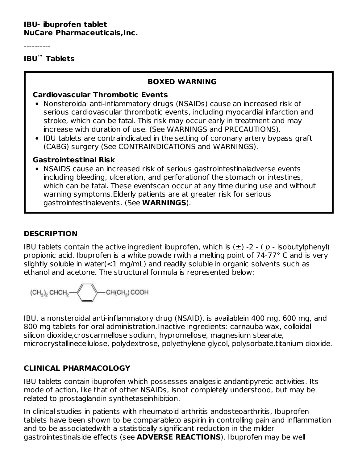#### **IBU- ibuprofen tablet NuCare Pharmaceuticals,Inc.**

----------

#### **IBU Tablets ™**

#### **BOXED WARNING**

#### **Cardiovascular Thrombotic Events**

- Nonsteroidal anti-inflammatory drugs (NSAIDs) cause an increased risk of serious cardiovascular thrombotic events, including myocardial infarction and stroke, which can be fatal. This risk may occur early in treatment and may increase with duration of use. (See WARNINGS and PRECAUTIONS).
- IBU tablets are contraindicated in the setting of coronary artery bypass graft (CABG) surgery (See CONTRAINDICATIONS and WARNINGS).

#### **Gastrointestinal Risk**

NSAIDS cause an increased risk of serious gastrointestinaladverse events including bleeding, ulceration, and perforationof the stomach or intestines, which can be fatal. These eventscan occur at any time during use and without warning symptoms.Elderly patients are at greater risk for serious gastrointestinalevents. (See **WARNINGS**).

## **DESCRIPTION**

IBU tablets contain the active ingredient ibuprofen, which is  $(\pm)$  -2 - (p - isobutylphenyl) propionic acid. Ibuprofen is a white powde rwith a melting point of 74-77° C and is very slightly soluble in water(<1 mg/mL) and readily soluble in organic solvents such as ethanol and acetone. The structural formula is represented below:



IBU, a nonsteroidal anti-inflammatory drug (NSAID), is availablein 400 mg, 600 mg, and 800 mg tablets for oral administration.Inactive ingredients: carnauba wax, colloidal silicon dioxide,croscarmellose sodium, hypromellose, magnesium stearate, microcrystallinecellulose, polydextrose, polyethylene glycol, polysorbate,titanium dioxide.

#### **CLINICAL PHARMACOLOGY**

IBU tablets contain ibuprofen which possesses analgesic andantipyretic activities. Its mode of action, like that of other NSAIDs, isnot completely understood, but may be related to prostaglandin synthetaseinhibition.

In clinical studies in patients with rheumatoid arthritis andosteoarthritis, Ibuprofen tablets have been shown to be comparableto aspirin in controlling pain and inflammation and to be associatedwith a statistically significant reduction in the milder gastrointestinalside effects (see **ADVERSE REACTIONS**). Ibuprofen may be well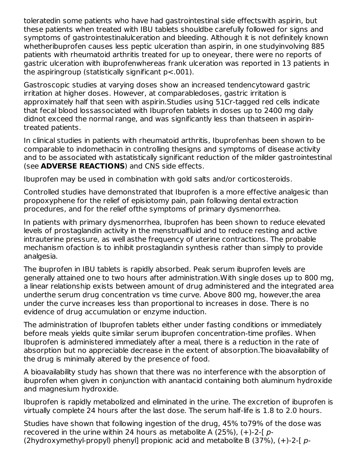toleratedin some patients who have had gastrointestinal side effectswith aspirin, but these patients when treated with IBU tablets shouldbe carefully followed for signs and symptoms of gastrointestinalulceration and bleeding. Although it is not definitely known whetheribuprofen causes less peptic ulceration than aspirin, in one studyinvolving 885 patients with rheumatoid arthritis treated for up to oneyear, there were no reports of gastric ulceration with ibuprofenwhereas frank ulceration was reported in 13 patients in the aspiringroup (statistically significant p<.001).

Gastroscopic studies at varying doses show an increased tendencytoward gastric irritation at higher doses. However, at comparabledoses, gastric irritation is approximately half that seen with aspirin.Studies using 51Cr-tagged red cells indicate that fecal blood lossassociated with Ibuprofen tablets in doses up to 2400 mg daily didnot exceed the normal range, and was significantly less than thatseen in aspirintreated patients.

In clinical studies in patients with rheumatoid arthritis, Ibuprofenhas been shown to be comparable to indomethacin in controlling thesigns and symptoms of disease activity and to be associated with astatistically significant reduction of the milder gastrointestinal (see **ADVERSE REACTIONS**) and CNS side effects.

Ibuprofen may be used in combination with gold salts and/or corticosteroids.

Controlled studies have demonstrated that Ibuprofen is a more effective analgesic than propoxyphene for the relief of episiotomy pain, pain following dental extraction procedures, and for the relief ofthe symptoms of primary dysmenorrhea.

In patients with primary dysmenorrhea, Ibuprofen has been shown to reduce elevated levels of prostaglandin activity in the menstrualfluid and to reduce resting and active intrauterine pressure, as well asthe frequency of uterine contractions. The probable mechanism ofaction is to inhibit prostaglandin synthesis rather than simply to provide analgesia.

The ibuprofen in IBU tablets is rapidly absorbed. Peak serum ibuprofen levels are generally attained one to two hours after administration.With single doses up to 800 mg, a linear relationship exists between amount of drug administered and the integrated area underthe serum drug concentration vs time curve. Above 800 mg, however,the area under the curve increases less than proportional to increases in dose. There is no evidence of drug accumulation or enzyme induction.

The administration of Ibuprofen tablets either under fasting conditions or immediately before meals yields quite similar serum ibuprofen concentration-time profiles. When Ibuprofen is administered immediately after a meal, there is a reduction in the rate of absorption but no appreciable decrease in the extent of absorption.The bioavailability of the drug is minimally altered by the presence of food.

A bioavailability study has shown that there was no interference with the absorption of ibuprofen when given in conjunction with anantacid containing both aluminum hydroxide and magnesium hydroxide.

Ibuprofen is rapidly metabolized and eliminated in the urine. The excretion of ibuprofen is virtually complete 24 hours after the last dose. The serum half-life is 1.8 to 2.0 hours.

Studies have shown that following ingestion of the drug, 45% to79% of the dose was recovered in the urine within 24 hours as metabolite A (25%),  $(+)$ -2-[ p-(2hydroxymethyl-propyl) phenyll propionic acid and metabolite B (37%),  $(+)$ -2-[ p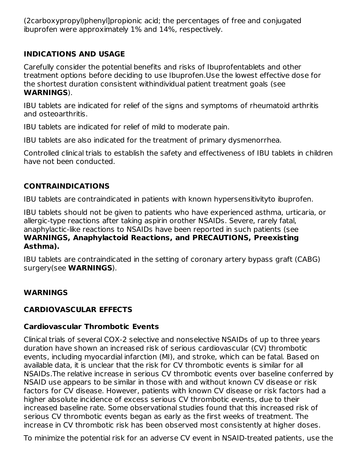(2carboxypropyl)phenyl]propionic acid; the percentages of free and conjugated ibuprofen were approximately 1% and 14%, respectively.

## **INDICATIONS AND USAGE**

Carefully consider the potential benefits and risks of Ibuprofentablets and other treatment options before deciding to use Ibuprofen.Use the lowest effective dose for the shortest duration consistent withindividual patient treatment goals (see **WARNINGS**).

IBU tablets are indicated for relief of the signs and symptoms of rheumatoid arthritis and osteoarthritis.

IBU tablets are indicated for relief of mild to moderate pain.

IBU tablets are also indicated for the treatment of primary dysmenorrhea.

Controlled clinical trials to establish the safety and effectiveness of IBU tablets in children have not been conducted.

## **CONTRAINDICATIONS**

IBU tablets are contraindicated in patients with known hypersensitivityto ibuprofen.

IBU tablets should not be given to patients who have experienced asthma, urticaria, or allergic-type reactions after taking aspirin orother NSAIDs. Severe, rarely fatal, anaphylactic-like reactions to NSAIDs have been reported in such patients (see **WARNINGS, Anaphylactoid Reactions, and PRECAUTIONS, Preexisting Asthma).**

IBU tablets are contraindicated in the setting of coronary artery bypass graft (CABG) surgery(see **WARNINGS**).

#### **WARNINGS**

## **CARDIOVASCULAR EFFECTS**

#### **Cardiovascular Thrombotic Events**

Clinical trials of several COX-2 selective and nonselective NSAIDs of up to three years duration have shown an increased risk of serious cardiovascular (CV) thrombotic events, including myocardial infarction (MI), and stroke, which can be fatal. Based on available data, it is unclear that the risk for CV thrombotic events is similar for all NSAIDs.The relative increase in serious CV thrombotic events over baseline conferred by NSAID use appears to be similar in those with and without known CV disease or risk factors for CV disease. However, patients with known CV disease or risk factors had a higher absolute incidence of excess serious CV thrombotic events, due to their increased baseline rate. Some observational studies found that this increased risk of serious CV thrombotic events began as early as the first weeks of treatment. The increase in CV thrombotic risk has been observed most consistently at higher doses.

To minimize the potential risk for an adverse CV event in NSAID-treated patients, use the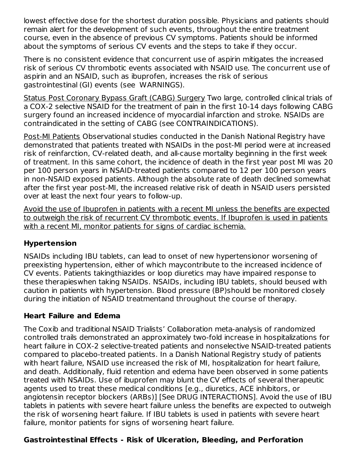lowest effective dose for the shortest duration possible. Physicians and patients should remain alert for the development of such events, throughout the entire treatment course, even in the absence of previous CV symptoms. Patients should be informed about the symptoms of serious CV events and the steps to take if they occur.

There is no consistent evidence that concurrent use of aspirin mitigates the increased risk of serious CV thrombotic events associated with NSAID use. The concurrent use of aspirin and an NSAID, such as ibuprofen, increases the risk of serious gastrointestinal (GI) events (see WARNINGS).

Status Post Coronary Bypass Graft (CABG) Surgery Two large, controlled clinical trials of a COX-2 selective NSAID for the treatment of pain in the first 10-14 days following CABG surgery found an increased incidence of myocardial infarction and stroke. NSAIDs are contraindicated in the setting of CABG (see CONTRAINDICATIONS).

Post-MI Patients Observational studies conducted in the Danish National Registry have demonstrated that patients treated with NSAIDs in the post-MI period were at increased risk of reinfarction, CV-related death, and all-cause mortality beginning in the first week of treatment. In this same cohort, the incidence of death in the first year post MI was 20 per 100 person years in NSAID-treated patients compared to 12 per 100 person years in non-NSAID exposed patients. Although the absolute rate of death declined somewhat after the first year post-MI, the increased relative risk of death in NSAID users persisted over at least the next four years to follow-up.

Avoid the use of Ibuprofen in patients with a recent MI unless the benefits are expected to outweigh the risk of recurrent CV thrombotic events. If Ibuprofen is used in patients with a recent MI, monitor patients for signs of cardiac ischemia.

## **Hypertension**

NSAIDs including IBU tablets, can lead to onset of new hypertensionor worsening of preexisting hypertension, either of which maycontribute to the increased incidence of CV events. Patients takingthiazides or loop diuretics may have impaired response to these therapieswhen taking NSAIDs. NSAIDs, including IBU tablets, should beused with caution in patients with hypertension. Blood pressure (BP)should be monitored closely during the initiation of NSAID treatmentand throughout the course of therapy.

# **Heart Failure and Edema**

The Coxib and traditional NSAID Trialists' Collaboration meta-analysis of randomized controlled trails demonstrated an approximately two-fold increase in hospitalizations for heart failure in COX-2 selective-treated patients and nonselective NSAID-treated patients compared to placebo-treated patients. In a Danish National Registry study of patients with heart failure, NSAID use increased the risk of MI, hospitalization for heart failure, and death. Additionally, fluid retention and edema have been observed in some patients treated with NSAIDs. Use of ibuprofen may blunt the CV effects of several therapeutic agents used to treat these medical conditions [e.g., diuretics, ACE inhibitors, or angiotensin receptor blockers (ARBs)] [See DRUG INTERACTIONS]. Avoid the use of IBU tablets in patients with severe heart failure unless the benefits are expected to outweigh the risk of worsening heart failure. If IBU tablets is used in patients with severe heart failure, monitor patients for signs of worsening heart failure.

# **Gastrointestinal Effects - Risk of Ulceration, Bleeding, and Perforation**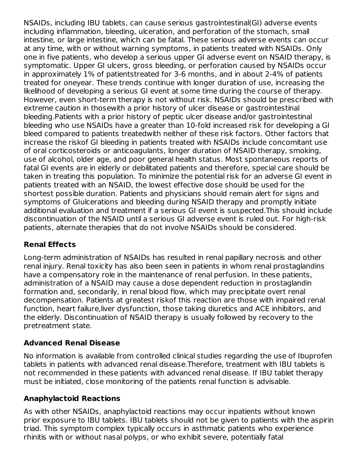NSAIDs, including IBU tablets, can cause serious gastrointestinal(GI) adverse events including inflammation, bleeding, ulceration, and perforation of the stomach, small intestine, or large intestine, which can be fatal. These serious adverse events can occur at any time, with or without warning symptoms, in patients treated with NSAIDs. Only one in five patients, who develop a serious upper GI adverse event on NSAID therapy, is symptomatic. Upper GI ulcers, gross bleeding, or perforation caused by NSAIDs occur in approximately 1% of patientstreated for 3-6 months, and in about 2-4% of patients treated for oneyear. These trends continue with longer duration of use, increasing the likelihood of developing a serious GI event at some time during the course of therapy. However, even short-term therapy is not without risk. NSAIDs should be prescribed with extreme caution in thosewith a prior history of ulcer disease or gastrointestinal bleeding.Patients with a prior history of peptic ulcer disease and/or gastrointestinal bleeding who use NSAIDs have a greater than 10-fold increased risk for developing a GI bleed compared to patients treatedwith neither of these risk factors. Other factors that increase the riskof GI bleeding in patients treated with NSAIDs include concomitant use of oral corticosteroids or anticoagulants, longer duration of NSAID therapy, smoking, use of alcohol, older age, and poor general health status. Most spontaneous reports of fatal GI events are in elderly or debilitated patients and therefore, special care should be taken in treating this population. To minimize the potential risk for an adverse GI event in patients treated with an NSAID, the lowest effective dose should be used for the shortest possible duration. Patients and physicians should remain alert for signs and symptoms of GIulcerations and bleeding during NSAID therapy and promptly initiate additional evaluation and treatment if a serious GI event is suspected.This should include discontinuation of the NSAID until a serious GI adverse event is ruled out. For high-risk patients, alternate therapies that do not involve NSAIDs should be considered.

# **Renal Effects**

Long-term administration of NSAIDs has resulted in renal papillary necrosis and other renal injury. Renal toxicity has also been seen in patients in whom renal prostaglandins have a compensatory role in the maintenance of renal perfusion. In these patients, administration of a NSAID may cause a dose dependent reduction in prostaglandin formation and, secondarily, in renal blood flow, which may precipitate overt renal decompensation. Patients at greatest riskof this reaction are those with impaired renal function, heart failure, liver dysfunction, those taking diuretics and ACE inhibitors, and the elderly. Discontinuation of NSAID therapy is usually followed by recovery to the pretreatment state.

## **Advanced Renal Disease**

No information is available from controlled clinical studies regarding the use of Ibuprofen tablets in patients with advanced renal disease.Therefore, treatment with IBU tablets is not recommended in these patients with advanced renal disease. If IBU tablet therapy must be initiated, close monitoring of the patients renal function is advisable.

#### **Anaphylactoid Reactions**

As with other NSAIDs, anaphylactoid reactions may occur inpatients without known prior exposure to IBU tablets. IBU tablets should not be given to patients with the aspirin triad. This symptom complex typically occurs in asthmatic patients who experience rhinitis with or without nasal polyps, or who exhibit severe, potentially fatal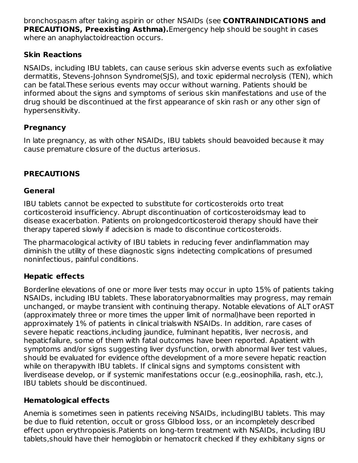bronchospasm after taking aspirin or other NSAIDs (see **CONTRAINDICATIONS and PRECAUTIONS, Preexisting Asthma).**Emergency help should be sought in cases where an anaphylactoidreaction occurs.

## **Skin Reactions**

NSAIDs, including IBU tablets, can cause serious skin adverse events such as exfoliative dermatitis, Stevens-Johnson Syndrome(SJS), and toxic epidermal necrolysis (TEN), which can be fatal.These serious events may occur without warning. Patients should be informed about the signs and symptoms of serious skin manifestations and use of the drug should be discontinued at the first appearance of skin rash or any other sign of hypersensitivity.

## **Pregnancy**

In late pregnancy, as with other NSAIDs, IBU tablets should beavoided because it may cause premature closure of the ductus arteriosus.

## **PRECAUTIONS**

## **General**

IBU tablets cannot be expected to substitute for corticosteroids orto treat corticosteroid insufficiency. Abrupt discontinuation of corticosteroidsmay lead to disease exacerbation. Patients on prolongedcorticosteroid therapy should have their therapy tapered slowly if adecision is made to discontinue corticosteroids.

The pharmacological activity of IBU tablets in reducing fever andinflammation may diminish the utility of these diagnostic signs indetecting complications of presumed noninfectious, painful conditions.

## **Hepatic effects**

Borderline elevations of one or more liver tests may occur in upto 15% of patients taking NSAIDs, including IBU tablets. These laboratoryabnormalities may progress, may remain unchanged, or maybe transient with continuing therapy. Notable elevations of ALT orAST (approximately three or more times the upper limit of normal)have been reported in approximately 1% of patients in clinical trialswith NSAIDs. In addition, rare cases of severe hepatic reactions,including jaundice, fulminant hepatitis, liver necrosis, and hepaticfailure, some of them with fatal outcomes have been reported. Apatient with symptoms and/or signs suggesting liver dysfunction, orwith abnormal liver test values, should be evaluated for evidence ofthe development of a more severe hepatic reaction while on therapywith IBU tablets. If clinical signs and symptoms consistent with liverdisease develop, or if systemic manifestations occur (e.g.,eosinophilia, rash, etc.), IBU tablets should be discontinued.

## **Hematological effects**

Anemia is sometimes seen in patients receiving NSAIDs, includingIBU tablets. This may be due to fluid retention, occult or gross GIblood loss, or an incompletely described effect upon erythropoiesis.Patients on long-term treatment with NSAIDs, including IBU tablets,should have their hemoglobin or hematocrit checked if they exhibitany signs or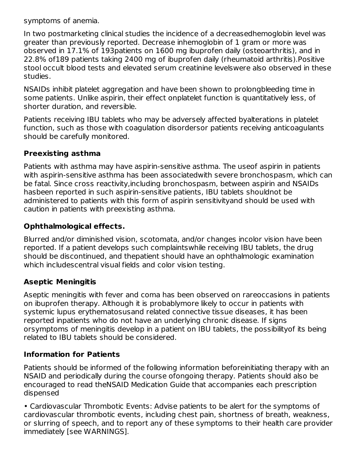symptoms of anemia.

In two postmarketing clinical studies the incidence of a decreasedhemoglobin level was greater than previously reported. Decrease inhemoglobin of 1 gram or more was observed in 17.1% of 193patients on 1600 mg ibuprofen daily (osteoarthritis), and in 22.8% of189 patients taking 2400 mg of ibuprofen daily (rheumatoid arthritis).Positive stool occult blood tests and elevated serum creatinine levelswere also observed in these studies.

NSAIDs inhibit platelet aggregation and have been shown to prolongbleeding time in some patients. Unlike aspirin, their effect onplatelet function is quantitatively less, of shorter duration, and reversible.

Patients receiving IBU tablets who may be adversely affected byalterations in platelet function, such as those with coagulation disordersor patients receiving anticoagulants should be carefully monitored.

## **Preexisting asthma**

Patients with asthma may have aspirin-sensitive asthma. The useof aspirin in patients with aspirin-sensitive asthma has been associatedwith severe bronchospasm, which can be fatal. Since cross reactivity,including bronchospasm, between aspirin and NSAIDs hasbeen reported in such aspirin-sensitive patients, IBU tablets shouldnot be administered to patients with this form of aspirin sensitivityand should be used with caution in patients with preexisting asthma.

## **Ophthalmological effects.**

Blurred and/or diminished vision, scotomata, and/or changes incolor vision have been reported. If a patient develops such complaintswhile receiving IBU tablets, the drug should be discontinued, and thepatient should have an ophthalmologic examination which includescentral visual fields and color vision testing.

## **Aseptic Meningitis**

Aseptic meningitis with fever and coma has been observed on rareoccasions in patients on ibuprofen therapy. Although it is probablymore likely to occur in patients with systemic lupus erythematosusand related connective tissue diseases, it has been reported inpatients who do not have an underlying chronic disease. If signs orsymptoms of meningitis develop in a patient on IBU tablets, the possibilityof its being related to IBU tablets should be considered.

## **Information for Patients**

Patients should be informed of the following information beforeinitiating therapy with an NSAID and periodically during the course ofongoing therapy. Patients should also be encouraged to read theNSAID Medication Guide that accompanies each prescription dispensed

• Cardiovascular Thrombotic Events: Advise patients to be alert for the symptoms of cardiovascular thrombotic events, including chest pain, shortness of breath, weakness, or slurring of speech, and to report any of these symptoms to their health care provider immediately [see WARNINGS].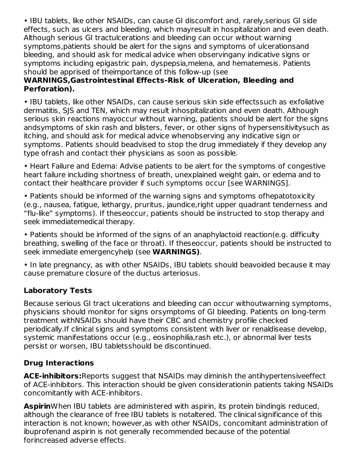• IBU tablets, like other NSAIDs, can cause GI discomfort and, rarely,serious GI side effects, such as ulcers and bleeding, which mayresult in hospitalization and even death. Although serious GI tractulcerations and bleeding can occur without warning symptoms,patients should be alert for the signs and symptoms of ulcerationsand bleeding, and should ask for medical advice when observingany indicative signs or symptoms including epigastric pain, dyspepsia,melena, and hematemesis. Patients should be apprised of theimportance of this follow-up (see

## **WARNINGS,Gastrointestinal Effects-Risk of Ulceration, Bleeding and Perforation).**

• IBU tablets, like other NSAIDs, can cause serious skin side effectssuch as exfoliative dermatitis, SJS and TEN, which may result inhospitalization and even death. Although serious skin reactions mayoccur without warning, patients should be alert for the signs andsymptoms of skin rash and blisters, fever, or other signs of hypersensitivitysuch as itching, and should ask for medical advice whenobserving any indicative sign or symptoms. Patients should beadvised to stop the drug immediately if they develop any type ofrash and contact their physicians as soon as possible.

• Heart Failure and Edema: Advise patients to be alert for the symptoms of congestive heart failure including shortness of breath, unexplained weight gain, or edema and to contact their healthcare provider if such symptoms occur [see WARNINGS].

• Patients should be informed of the warning signs and symptoms ofhepatotoxicity (e.g., nausea, fatigue, lethargy, pruritus, jaundice,right upper quadrant tenderness and "flu-like" symptoms). If theseoccur, patients should be instructed to stop therapy and seek immediatemedical therapy.

• Patients should be informed of the signs of an anaphylactoid reaction(e.g. difficulty breathing, swelling of the face or throat). If theseoccur, patients should be instructed to seek immediate emergencyhelp (see **WARNINGS)**.

• In late pregnancy, as with other NSAIDs, IBU tablets should beavoided because it may cause premature closure of the ductus arteriosus.

# **Laboratory Tests**

Because serious GI tract ulcerations and bleeding can occur withoutwarning symptoms, physicians should monitor for signs orsymptoms of GI bleeding. Patients on long-term treatment withNSAIDs should have their CBC and chemistry profile checked periodically.If clinical signs and symptoms consistent with liver or renaldisease develop, systemic manifestations occur (e.g., eosinophilia,rash etc.), or abnormal liver tests persist or worsen, IBU tabletsshould be discontinued.

# **Drug Interactions**

**ACE-inhibitors:**Reports suggest that NSAIDs may diminish the antihypertensiveeffect of ACE-inhibitors. This interaction should be given considerationin patients taking NSAIDs concomitantly with ACE-inhibitors.

**Aspirin**When IBU tablets are administered with aspirin, its protein bindingis reduced, although the clearance of free IBU tablets is notaltered. The clinical significance of this interaction is not known; however,as with other NSAIDs, concomitant administration of ibuprofenand aspirin is not generally recommended because of the potential forincreased adverse effects.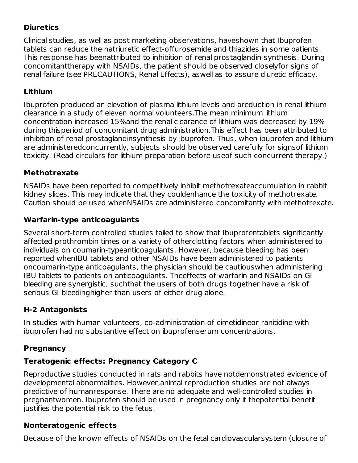## **Diuretics**

Clinical studies, as well as post marketing observations, haveshown that Ibuprofen tablets can reduce the natriuretic effect-offurosemide and thiazides in some patients. This response has beenattributed to inhibition of renal prostaglandin synthesis. During concomitanttherapy with NSAIDs, the patient should be observed closelyfor signs of renal failure (see PRECAUTIONS, Renal Effects), aswell as to assure diuretic efficacy.

## **Lithium**

Ibuprofen produced an elevation of plasma lithium levels and areduction in renal lithium clearance in a study of eleven normal volunteers.The mean minimum lithium concentration increased 15%and the renal clearance of lithium was decreased by 19% during thisperiod of concomitant drug administration.This effect has been attributed to inhibition of renal prostaglandinsynthesis by ibuprofen. Thus, when ibuprofen and lithium are administeredconcurrently, subjects should be observed carefully for signsof lithium toxicity. (Read circulars for lithium preparation before useof such concurrent therapy.)

## **Methotrexate**

NSAIDs have been reported to competitively inhibit methotrexateaccumulation in rabbit kidney slices. This may indicate that they couldenhance the toxicity of methotrexate. Caution should be used whenNSAIDs are administered concomitantly with methotrexate.

## **Warfarin-type anticoagulants**

Several short-term controlled studies failed to show that Ibuprofentablets significantly affected prothrombin times or a variety of otherclotting factors when administered to individuals on coumarin-typeanticoagulants. However, because bleeding has been reported whenIBU tablets and other NSAIDs have been administered to patients oncoumarin-type anticoagulants, the physician should be cautiouswhen administering IBU tablets to patients on anticoagulants. Theeffects of warfarin and NSAIDs on GI bleeding are synergistic, suchthat the users of both drugs together have a risk of serious GI bleedinghigher than users of either drug alone.

## **H-2 Antagonists**

In studies with human volunteers, co-administration of cimetidineor ranitidine with ibuprofen had no substantive effect on ibuprofenserum concentrations.

## **Pregnancy**

## **Teratogenic effects: Pregnancy Category C**

Reproductive studies conducted in rats and rabbits have notdemonstrated evidence of developmental abnormalities. However,animal reproduction studies are not always predictive of humanresponse. There are no adequate and well-controlled studies in pregnantwomen. Ibuprofen should be used in pregnancy only if thepotential benefit justifies the potential risk to the fetus.

#### **Nonteratogenic effects**

Because of the known effects of NSAIDs on the fetal cardiovascularsystem (closure of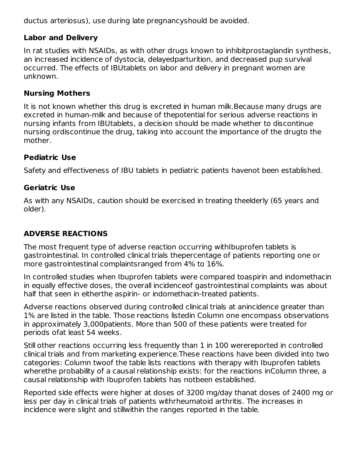ductus arteriosus), use during late pregnancyshould be avoided.

## **Labor and Delivery**

In rat studies with NSAIDs, as with other drugs known to inhibitprostaglandin synthesis, an increased incidence of dystocia, delayedparturition, and decreased pup survival occurred. The effects of IBUtablets on labor and delivery in pregnant women are unknown.

#### **Nursing Mothers**

It is not known whether this drug is excreted in human milk.Because many drugs are excreted in human-milk and because of thepotential for serious adverse reactions in nursing infants from IBUtablets, a decision should be made whether to discontinue nursing ordiscontinue the drug, taking into account the importance of the drugto the mother.

## **Pediatric Use**

Safety and effectiveness of IBU tablets in pediatric patients havenot been established.

## **Geriatric Use**

As with any NSAIDs, caution should be exercised in treating theelderly (65 years and older).

# **ADVERSE REACTIONS**

The most frequent type of adverse reaction occurring withIbuprofen tablets is gastrointestinal. In controlled clinical trials thepercentage of patients reporting one or more gastrointestinal complaintsranged from 4% to 16%.

In controlled studies when Ibuprofen tablets were compared toaspirin and indomethacin in equally effective doses, the overall incidenceof gastrointestinal complaints was about half that seen in eitherthe aspirin- or indomethacin-treated patients.

Adverse reactions observed during controlled clinical trials at anincidence greater than 1% are listed in the table. Those reactions listedin Column one encompass observations in approximately 3,000patients. More than 500 of these patients were treated for periods ofat least 54 weeks.

Still other reactions occurring less frequently than 1 in 100 werereported in controlled clinical trials and from marketing experience.These reactions have been divided into two categories: Column twoof the table lists reactions with therapy with Ibuprofen tablets wherethe probability of a causal relationship exists: for the reactions inColumn three, a causal relationship with Ibuprofen tablets has notbeen established.

Reported side effects were higher at doses of 3200 mg/day thanat doses of 2400 mg or less per day in clinical trials of patients withrheumatoid arthritis. The increases in incidence were slight and stillwithin the ranges reported in the table.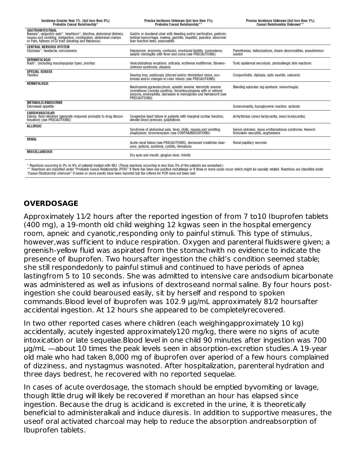| Incidence Greater than 1% (but less than 3%)<br>Probable Causal Relationship*                                                                                                                                                  | Precise Incidence Unknown (but less than 1%)<br>Probable Causal Relationship**                                                                                                                                        | Precise Incidence Unknown (but less than 1%)<br>Causal Relationship Unknown**             |  |  |
|--------------------------------------------------------------------------------------------------------------------------------------------------------------------------------------------------------------------------------|-----------------------------------------------------------------------------------------------------------------------------------------------------------------------------------------------------------------------|-------------------------------------------------------------------------------------------|--|--|
| <b>GASTROINTESTINAL</b><br>Nausea*, epigastric pain*, heartburn*, diarrhea, abdominal distress,<br>nausea and vomiting, indigestion, constipation, abdominal cramps<br>or Pain, fullness of GI tract (bloating and flatulence) | Gastric or duodenal ulcer with bleeding and/or perforation, gastroin-<br>testinal hemorrhage, melena, gastritis, hepatitis, jaundice, abnormal<br>liver function tests: pancreatitis                                  |                                                                                           |  |  |
| <b>CENTRAL NERVOUS SYSTEM</b><br>Dizziness*, headache, nervousness                                                                                                                                                             | Depression, insomnia, confusion, emotional liability, somnolence,<br>aseptic meningitis with fever and coma (see PRECAUTIONS)                                                                                         | Paresthesias, hallucinations, dream abnormalities, pseudotumor<br>cerebri                 |  |  |
| <b>DERMATOLOGIC</b><br>Rash*, (including maculopapular type), pruritus                                                                                                                                                         | Vesiculobullous eruptions, urticaria, erythema multiforme, Stevens-<br>Johnson syndrome, alopecia                                                                                                                     | Toxic epidermal necrolysis, photoallergic skin reactions                                  |  |  |
| <b>SPECIAL SENSES</b><br>Tinnitus                                                                                                                                                                                              | Hearing loss, amblyopia (blurred and/or diminished vision, sco-<br>tomata and/or changes in color vision) (see PRECAUTIONS)                                                                                           | Conjunctivitis, diplopia, optic neuritis, cataracts                                       |  |  |
| <b>HEMATOLOGIC</b>                                                                                                                                                                                                             | Neutropenia,agranulocytosis, aplastic anemia, hemolytic anemia<br>(sometimes Coombs positive), thrombocytopenia with or without<br>purpura, eosinophilia, decreases in hemoglobin and hematocrit (see<br>PRECAUTIONS) | Bleeding episodes (eg epistaxis, menomhagia)                                              |  |  |
| <b>METABOLIC/ENDOCRINE</b><br>Decreased appetite                                                                                                                                                                               |                                                                                                                                                                                                                       | Gynecomastia, hypoglycemic reaction, acidosis                                             |  |  |
| CARDIOVASCULAR<br>Edema, fluid retention (generally responds promptly to drug discon-<br>tinuation) (see PRECAUTIONS)                                                                                                          | Congestive heart failure in patients with marginal cardiac function,<br>elevate blood pressure, palpitations                                                                                                          | Arrhythmias (sinus tachycardia, sinus bradycardia)                                        |  |  |
| <b>ALLERGIC</b>                                                                                                                                                                                                                | Syndrome of abdominal pain, fever, chills, nausea and vomiting;<br>anaphylaxis; bronchospasm (see CONTRAINDICATIONS)                                                                                                  | Serum sickness, lupus erythematosus syndrome. Henoch-<br>Schonlein vasculitis, angioedema |  |  |
| <b>RENAL</b>                                                                                                                                                                                                                   | Acute renal failure (see PRECAUTIONS), decreased creatinine clear-<br>ance, poliuria, azotemia, cystitis, Hematuria                                                                                                   | Renal papillary necrosis                                                                  |  |  |
| MISCELLANEOUS                                                                                                                                                                                                                  | Dry eyes and mouth, gingival ulcer, rhinitis                                                                                                                                                                          |                                                                                           |  |  |

\* Reactions occurring in 3% to 9% of patients treated with IBU. (Those reactions occurring in less than 3% of the patients are unmarked.)<br>\*\* Reactions are classified under "Probable Causal Relationship (PCR)" if there has

#### **OVERDOSAGE**

Approximately 11⁄2 hours after the reported ingestion of from 7 to10 Ibuprofen tablets (400 mg), a 19-month old child weighing 12 kgwas seen in the hospital emergency room, apneic and cyanotic,responding only to painful stimuli. This type of stimulus, however,was sufficient to induce respiration. Oxygen and parenteral fluidswere given; a greenish-yellow fluid was aspirated from the stomachwith no evidence to indicate the presence of ibuprofen. Two hoursafter ingestion the child's condition seemed stable; she still respondedonly to painful stimuli and continued to have periods of apnea lastingfrom 5 to 10 seconds. She was admitted to intensive care andsodium bicarbonate was administered as well as infusions of dextroseand normal saline. By four hours postingestion she could bearoused easily, sit by herself and respond to spoken commands.Blood level of ibuprofen was 102.9 μg/mL approximately 81⁄2 hoursafter accidental ingestion. At 12 hours she appeared to be completelyrecovered.

In two other reported cases where children (each weighingapproximately 10 kg) accidentally, acutely ingested approximately120 mg/kg, there were no signs of acute intoxication or late sequelae.Blood level in one child 90 minutes after ingestion was 700 μg/mL —about 10 times the peak levels seen in absorption-excretion studies.A 19-year old male who had taken 8,000 mg of ibuprofen over aperiod of a few hours complained of dizziness, and nystagmus wasnoted. After hospitalization, parenteral hydration and three days bedrest, he recovered with no reported sequelae.

In cases of acute overdosage, the stomach should be emptied byvomiting or lavage, though little drug will likely be recovered if morethan an hour has elapsed since ingestion. Because the drug is acidicand is excreted in the urine, it is theoretically beneficial to administeralkali and induce diuresis. In addition to supportive measures, the useof oral activated charcoal may help to reduce the absorption andreabsorption of Ibuprofen tablets.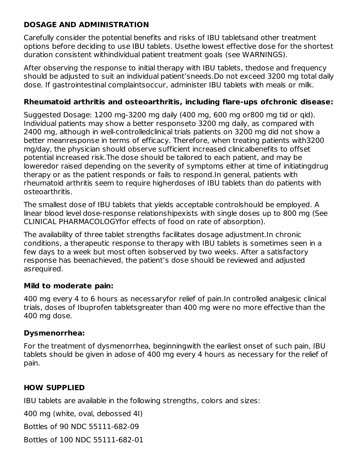### **DOSAGE AND ADMINISTRATION**

Carefully consider the potential benefits and risks of IBU tabletsand other treatment options before deciding to use IBU tablets. Usethe lowest effective dose for the shortest duration consistent withindividual patient treatment goals (see WARNINGS).

After observing the response to initial therapy with IBU tablets, thedose and frequency should be adjusted to suit an individual patient'sneeds.Do not exceed 3200 mg total daily dose. If gastrointestinal complaintsoccur, administer IBU tablets with meals or milk.

#### **Rheumatoid arthritis and osteoarthritis, including flare-ups ofchronic disease:**

Suggested Dosage: 1200 mg-3200 mg daily (400 mg, 600 mg or800 mg tid or qid). Individual patients may show a better responseto 3200 mg daily, as compared with 2400 mg, although in well-controlledclinical trials patients on 3200 mg did not show a better meanresponse in terms of efficacy. Therefore, when treating patients with3200 mg/day, the physician should observe sufficient increased clinicalbenefits to offset potential increased risk.The dose should be tailored to each patient, and may be loweredor raised depending on the severity of symptoms either at time of initiatingdrug therapy or as the patient responds or fails to respond.In general, patients with rheumatoid arthritis seem to require higherdoses of IBU tablets than do patients with osteoarthritis.

The smallest dose of IBU tablets that yields acceptable controlshould be employed. A linear blood level dose-response relationshipexists with single doses up to 800 mg (See CLINICAL PHARMACOLOGYfor effects of food on rate of absorption).

The availability of three tablet strengths facilitates dosage adjustment.In chronic conditions, a therapeutic response to therapy with IBU tablets is sometimes seen in a few days to a week but most often isobserved by two weeks. After a satisfactory response has beenachieved, the patient's dose should be reviewed and adjusted asrequired.

#### **Mild to moderate pain:**

400 mg every 4 to 6 hours as necessaryfor relief of pain.In controlled analgesic clinical trials, doses of Ibuprofen tabletsgreater than 400 mg were no more effective than the 400 mg dose.

#### **Dysmenorrhea:**

For the treatment of dysmenorrhea, beginningwith the earliest onset of such pain, IBU tablets should be given in adose of 400 mg every 4 hours as necessary for the relief of pain.

## **HOW SUPPLIED**

IBU tablets are available in the following strengths, colors and sizes:

400 mg (white, oval, debossed 4I)

Bottles of 90 NDC 55111-682-09

Bottles of 100 NDC 55111-682-01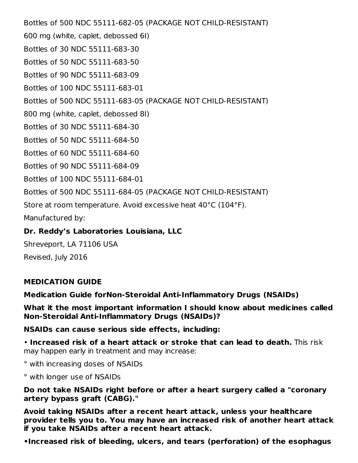Bottles of 500 NDC 55111-682-05 (PACKAGE NOT CHILD-RESISTANT) 600 mg (white, caplet, debossed 6I) Bottles of 30 NDC 55111-683-30 Bottles of 50 NDC 55111-683-50 Bottles of 90 NDC 55111-683-09 Bottles of 100 NDC 55111-683-01 Bottles of 500 NDC 55111-683-05 (PACKAGE NOT CHILD-RESISTANT) 800 mg (white, caplet, debossed 8I) Bottles of 30 NDC 55111-684-30 Bottles of 50 NDC 55111-684-50 Bottles of 60 NDC 55111-684-60 Bottles of 90 NDC 55111-684-09 Bottles of 100 NDC 55111-684-01 Bottles of 500 NDC 55111-684-05 (PACKAGE NOT CHILD-RESISTANT) Store at room temperature. Avoid excessive heat 40°C (104°F). Manufactured by:

#### **Dr. Reddy's Laboratories Louisiana, LLC**

Shreveport, LA 71106 USA Revised, July 2016

## **MEDICATION GUIDE**

**Medication Guide forNon-Steroidal Anti-Inflammatory Drugs (NSAIDs)**

**What it the most important information I should know about medicines called Non-Steroidal Anti-Inflammatory Drugs (NSAIDs)?**

**NSAIDs can cause serious side effects, including:**

• **Increased risk of a heart attack or stroke that can lead to death.** This risk may happen early in treatment and may increase:

° with increasing doses of NSAIDs

° with longer use of NSAIDs

**Do not take NSAIDs right before or after a heart surgery called a "coronary artery bypass graft (CABG)."**

**Avoid taking NSAIDs after a recent heart attack, unless your healthcare provider tells you to. You may have an increased risk of another heart attack if you take NSAIDs after a recent heart attack.**

**•Increased risk of bleeding, ulcers, and tears (perforation) of the esophagus**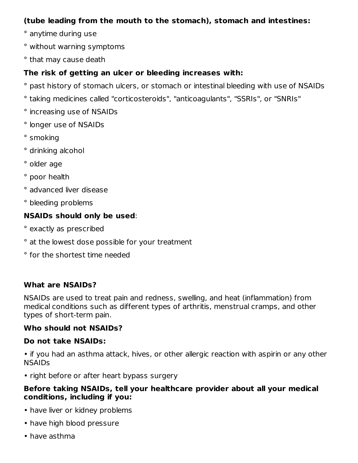## **(tube leading from the mouth to the stomach), stomach and intestines:**

- ° anytime during use
- ° without warning symptoms
- ° that may cause death

## **The risk of getting an ulcer or bleeding increases with:**

- ° past history of stomach ulcers, or stomach or intestinal bleeding with use of NSAIDs
- ° taking medicines called "corticosteroids", "anticoagulants", "SSRIs", or "SNRIs"
- ° increasing use of NSAIDs
- ° longer use of NSAIDs
- ° smoking
- ° drinking alcohol
- ° older age
- ° poor health
- ° advanced liver disease
- ° bleeding problems

## **NSAIDs should only be used**:

- ° exactly as prescribed
- ° at the lowest dose possible for your treatment
- ° for the shortest time needed

## **What are NSAIDs?**

NSAIDs are used to treat pain and redness, swelling, and heat (inflammation) from medical conditions such as different types of arthritis, menstrual cramps, and other types of short-term pain.

## **Who should not NSAIDs?**

#### **Do not take NSAIDs:**

• if you had an asthma attack, hives, or other allergic reaction with aspirin or any other NSAIDs

• right before or after heart bypass surgery

## **Before taking NSAIDs, tell your healthcare provider about all your medical conditions, including if you:**

- have liver or kidney problems
- have high blood pressure
- have asthma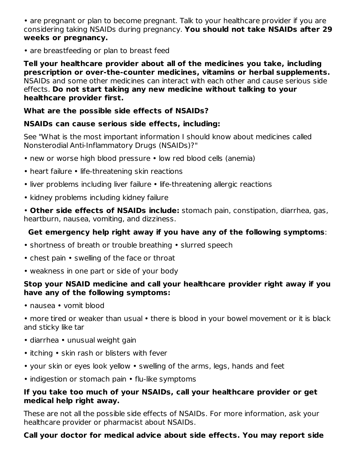• are pregnant or plan to become pregnant. Talk to your healthcare provider if you are considering taking NSAIDs during pregnancy. **You should not take NSAIDs after 29 weeks or pregnancy.**

• are breastfeeding or plan to breast feed

**Tell your healthcare provider about all of the medicines you take, including prescription or over-the-counter medicines, vitamins or herbal supplements.** NSAIDs and some other medicines can interact with each other and cause serious side effects. **Do not start taking any new medicine without talking to your healthcare provider first.**

## **What are the possible side effects of NSAIDs?**

## **NSAIDs can cause serious side effects, including:**

See "What is the most important information I should know about medicines called Nonsterodial Anti-Inflammatory Drugs (NSAIDs)?"

- new or worse high blood pressure low red blood cells (anemia)
- heart failure life-threatening skin reactions
- liver problems including liver failure life-threatening allergic reactions
- kidney problems including kidney failure

• **Other side effects of NSAIDs include:** stomach pain, constipation, diarrhea, gas, heartburn, nausea, vomiting, and dizziness.

# **Get emergency help right away if you have any of the following symptoms**:

- shortness of breath or trouble breathing slurred speech
- chest pain swelling of the face or throat
- weakness in one part or side of your body

## **Stop your NSAID medicine and call your healthcare provider right away if you have any of the following symptoms:**

- nausea vomit blood
- more tired or weaker than usual there is blood in your bowel movement or it is black and sticky like tar
- diarrhea unusual weight gain
- itching skin rash or blisters with fever
- your skin or eyes look yellow swelling of the arms, legs, hands and feet
- indigestion or stomach pain flu-like symptoms

## **If you take too much of your NSAIDs, call your healthcare provider or get medical help right away.**

These are not all the possible side effects of NSAIDs. For more information, ask your healthcare provider or pharmacist about NSAIDs.

# **Call your doctor for medical advice about side effects. You may report side**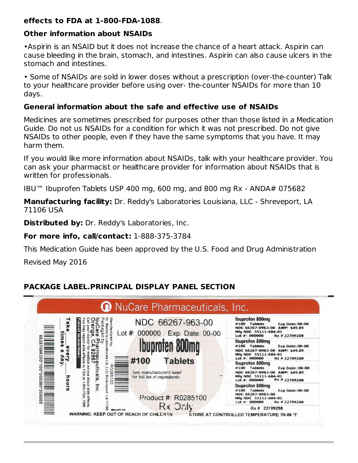## **effects to FDA at 1-800-FDA-1088**.

#### **Other information about NSAIDs**

•Aspirin is an NSAID but it does not increase the chance of a heart attack. Aspirin can cause bleeding in the brain, stomach, and intestines. Aspirin can also cause ulcers in the stomach and intestines.

• Some of NSAIDs are sold in lower doses without a prescription (over-the-counter) Talk to your healthcare provider before using over- the-counter NSAIDs for more than 10 days.

#### **General information about the safe and effective use of NSAIDs**

Medicines are sometimes prescribed for purposes other than those listed in a Medication Guide. Do not us NSAIDs for a condition for which it was not prescribed. Do not give NSAIDs to other people, even if they have the same symptoms that you have. It may harm them.

If you would like more information about NSAIDs, talk with your healthcare provider. You can ask your pharmacist or healthcare provider for information about NSAIDs that is written for professionals.

IBU™ Ibuprofen Tablets USP 400 mg, 600 mg, and 800 mg Rx - ANDA# 075682

**Manufacturing facility:** Dr. Reddy's Laboratories Louisiana, LLC - Shreveport, LA 71106 USA

**Distributed by:** Dr. Reddy's Laboratories, Inc.

**For more info, call/contact:** 1-888-375-3784

This Medication Guide has been approved by the U.S. Food and Drug Administration

Revised May 2016

# **PACKAGE LABEL.PRINCIPAL DISPLAY PANEL SECTION**

| NDC 66267-963-00<br>Lot #: 000000 Exp. Date: 00-00                                                                                       | Ibuprofen 800mg<br>#100 Tablets<br><b>Exp Date: 00-00</b><br>NDC 66267-0963-00 AWP: \$49.89<br>Mfg NDC 55111-684-01<br>Lot #: 000000<br>Rx #22709208                                                                                                                                                          |
|------------------------------------------------------------------------------------------------------------------------------------------|---------------------------------------------------------------------------------------------------------------------------------------------------------------------------------------------------------------------------------------------------------------------------------------------------------------|
| ന്മയ<br>ry<br>Li<br><b>Tablets</b><br>#100<br>ගෆ<br>c.<br>o<br>See manufacturer's label<br>≅<br>for full list of ingredients.<br>$\circ$ | Ibuprofen 800mg<br>#100 Tablets<br><b>Exp Date: 00-00</b><br>NDC 66267-0963-00 AWP: \$49.89<br>Mfg NDC 55111-684-01<br>Lot #: 000000<br>Rx #22709208<br>Ibuprofen 800mg<br>#100 Tablets<br><b>Exp Date: 00-00</b><br>NDC 66267-0963-00 AWP: \$49.89<br>Mfg NDC 55111-684-01<br>Rx # 22709208<br>Lot #: 000000 |
| ours<br>ᇘ<br>å<br>00000.<br>           <br>σ<br>Product #: R0285100<br>Rx Only                                                           | Ibuprofen 800mg<br>#100 Tablets<br>Exp Date: 00-00<br>NDC 66267-0963-00<br>Mfg NDC 55111-684-01<br>$Lot \#: 000000$<br>Rx #22709208                                                                                                                                                                           |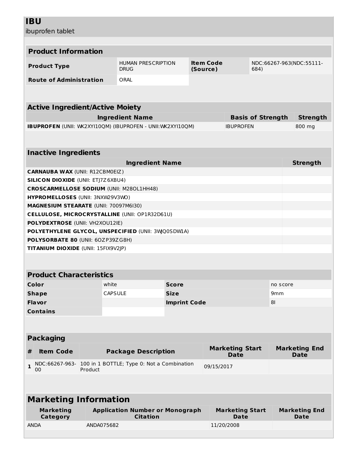| <b>IBU</b><br>ibuprofen tablet                                                      |                |                                                           |                     |          |                                       |                 |                          |                                     |
|-------------------------------------------------------------------------------------|----------------|-----------------------------------------------------------|---------------------|----------|---------------------------------------|-----------------|--------------------------|-------------------------------------|
|                                                                                     |                |                                                           |                     |          |                                       |                 |                          |                                     |
| <b>Product Information</b>                                                          |                |                                                           |                     |          |                                       |                 |                          |                                     |
| <b>Product Type</b>                                                                 |                | <b>HUMAN PRESCRIPTION</b><br>DRUG                         |                     | (Source) | <b>Item Code</b><br>684)              |                 | NDC:66267-963(NDC:55111- |                                     |
| <b>Route of Administration</b>                                                      |                | ORAL                                                      |                     |          |                                       |                 |                          |                                     |
|                                                                                     |                |                                                           |                     |          |                                       |                 |                          |                                     |
| <b>Active Ingredient/Active Moiety</b>                                              |                |                                                           |                     |          |                                       |                 |                          |                                     |
| <b>Ingredient Name</b><br><b>Basis of Strength</b>                                  |                |                                                           |                     |          |                                       |                 | <b>Strength</b>          |                                     |
| IBUPROFEN (UNII: WK2XYI10QM) (IBUPROFEN - UNII: WK2XYI10QM)                         |                |                                                           |                     |          | <b>IBUPROFEN</b>                      |                 |                          | 800 mg                              |
|                                                                                     |                |                                                           |                     |          |                                       |                 |                          |                                     |
| <b>Inactive Ingredients</b>                                                         |                |                                                           |                     |          |                                       |                 |                          |                                     |
|                                                                                     |                | <b>Ingredient Name</b>                                    |                     |          |                                       |                 |                          | <b>Strength</b>                     |
| <b>CARNAUBA WAX (UNII: R12CBM0EIZ)</b>                                              |                |                                                           |                     |          |                                       |                 |                          |                                     |
| <b>SILICON DIOXIDE (UNII: ETJ7Z6XBU4)</b>                                           |                |                                                           |                     |          |                                       |                 |                          |                                     |
| <b>CROSCARMELLOSE SODIUM (UNII: M280L1HH48)</b><br>HYPROMELLOSES (UNII: 3NXW29V3WO) |                |                                                           |                     |          |                                       |                 |                          |                                     |
| <b>MAGNESIUM STEARATE (UNII: 70097M6I30)</b>                                        |                |                                                           |                     |          |                                       |                 |                          |                                     |
| CELLULOSE, MICROCRYSTALLINE (UNII: OP1R32D61U)                                      |                |                                                           |                     |          |                                       |                 |                          |                                     |
| <b>POLYDEXTROSE (UNII: VH2XOU12IE)</b>                                              |                |                                                           |                     |          |                                       |                 |                          |                                     |
| POLYETHYLENE GLYCOL, UNSPECIFIED (UNII: 3WQ0SDWIA)                                  |                |                                                           |                     |          |                                       |                 |                          |                                     |
| POLYSORBATE 80 (UNII: 60ZP39ZG8H)                                                   |                |                                                           |                     |          |                                       |                 |                          |                                     |
| TITANIUM DIOXIDE (UNII: 15FIX9V2JP)                                                 |                |                                                           |                     |          |                                       |                 |                          |                                     |
|                                                                                     |                |                                                           |                     |          |                                       |                 |                          |                                     |
| <b>Product Characteristics</b>                                                      |                |                                                           |                     |          |                                       |                 |                          |                                     |
| Color                                                                               | white          |                                                           | <b>Score</b>        |          |                                       | no score        |                          |                                     |
| <b>Shape</b>                                                                        | <b>CAPSULE</b> |                                                           | <b>Size</b>         |          |                                       | 9 <sub>mm</sub> |                          |                                     |
| Flavor                                                                              |                |                                                           | <b>Imprint Code</b> |          |                                       |                 | 81                       |                                     |
| <b>Contains</b>                                                                     |                |                                                           |                     |          |                                       |                 |                          |                                     |
|                                                                                     |                |                                                           |                     |          |                                       |                 |                          |                                     |
| <b>Packaging</b>                                                                    |                |                                                           |                     |          |                                       |                 |                          |                                     |
| <b>Item Code</b><br>#                                                               |                | <b>Package Description</b>                                |                     |          | <b>Marketing Start</b><br><b>Date</b> |                 |                          | <b>Marketing End</b><br><b>Date</b> |
| NDC:66267-963- 100 in 1 BOTTLE; Type 0: Not a Combination<br>$\mathbf{1}$<br>00     | Product        |                                                           |                     |          | 09/15/2017                            |                 |                          |                                     |
|                                                                                     |                |                                                           |                     |          |                                       |                 |                          |                                     |
| <b>Marketing Information</b>                                                        |                |                                                           |                     |          |                                       |                 |                          |                                     |
| <b>Marketing</b><br><b>Category</b>                                                 |                | <b>Application Number or Monograph</b><br><b>Citation</b> |                     |          | <b>Marketing Start</b><br><b>Date</b> |                 |                          | <b>Marketing End</b><br><b>Date</b> |
| <b>ANDA</b>                                                                         | ANDA075682     |                                                           |                     |          | 11/20/2008                            |                 |                          |                                     |